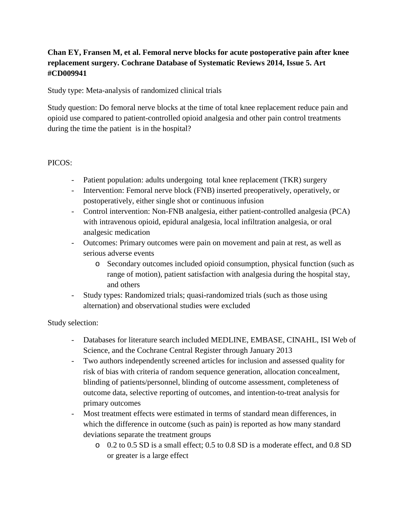# **Chan EY, Fransen M, et al. Femoral nerve blocks for acute postoperative pain after knee replacement surgery. Cochrane Database of Systematic Reviews 2014, Issue 5. Art #CD009941**

Study type: Meta-analysis of randomized clinical trials

Study question: Do femoral nerve blocks at the time of total knee replacement reduce pain and opioid use compared to patient-controlled opioid analgesia and other pain control treatments during the time the patient is in the hospital?

### PICOS:

- Patient population: adults undergoing total knee replacement (TKR) surgery
- Intervention: Femoral nerve block (FNB) inserted preoperatively, operatively, or postoperatively, either single shot or continuous infusion
- Control intervention: Non-FNB analgesia, either patient-controlled analgesia (PCA) with intravenous opioid, epidural analgesia, local infiltration analgesia, or oral analgesic medication
- Outcomes: Primary outcomes were pain on movement and pain at rest, as well as serious adverse events
	- o Secondary outcomes included opioid consumption, physical function (such as range of motion), patient satisfaction with analgesia during the hospital stay, and others
- Study types: Randomized trials; quasi-randomized trials (such as those using alternation) and observational studies were excluded

### Study selection:

- Databases for literature search included MEDLINE, EMBASE, CINAHL, ISI Web of Science, and the Cochrane Central Register through January 2013
- Two authors independently screened articles for inclusion and assessed quality for risk of bias with criteria of random sequence generation, allocation concealment, blinding of patients/personnel, blinding of outcome assessment, completeness of outcome data, selective reporting of outcomes, and intention-to-treat analysis for primary outcomes
- Most treatment effects were estimated in terms of standard mean differences, in which the difference in outcome (such as pain) is reported as how many standard deviations separate the treatment groups
	- o 0.2 to 0.5 SD is a small effect; 0.5 to 0.8 SD is a moderate effect, and 0.8 SD or greater is a large effect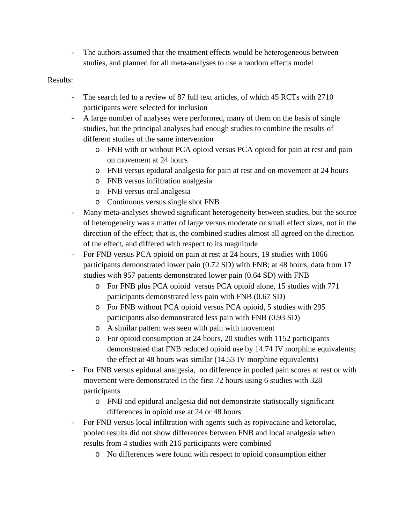- The authors assumed that the treatment effects would be heterogeneous between studies, and planned for all meta-analyses to use a random effects model

#### Results:

- The search led to a review of 87 full text articles, of which 45 RCTs with 2710 participants were selected for inclusion
- A large number of analyses were performed, many of them on the basis of single studies, but the principal analyses had enough studies to combine the results of different studies of the same intervention
	- o FNB with or without PCA opioid versus PCA opioid for pain at rest and pain on movement at 24 hours
	- o FNB versus epidural analgesia for pain at rest and on movement at 24 hours
	- o FNB versus infiltration analgesia
	- o FNB versus oral analgesia
	- o Continuous versus single shot FNB
- Many meta-analyses showed significant heterogeneity between studies, but the source of heterogeneity was a matter of large versus moderate or small effect sizes, not in the direction of the effect; that is, the combined studies almost all agreed on the direction of the effect, and differed with respect to its magnitude
- For FNB versus PCA opioid on pain at rest at 24 hours, 19 studies with 1066 participants demonstrated lower pain (0.72 SD) with FNB; at 48 hours, data from 17 studies with 957 patients demonstrated lower pain (0.64 SD) with FNB
	- o For FNB plus PCA opioid versus PCA opioid alone, 15 studies with 771 participants demonstrated less pain with FNB (0.67 SD)
	- o For FNB without PCA opioid versus PCA opioid, 5 studies with 295 participants also demonstrated less pain with FNB (0.93 SD)
	- o A similar pattern was seen with pain with movement
	- o For opioid consumption at 24 hours, 20 studies with 1152 participants demonstrated that FNB reduced opioid use by 14.74 IV morphine equivalents; the effect at 48 hours was similar (14.53 IV morphine equivalents)
- For FNB versus epidural analgesia, no difference in pooled pain scores at rest or with movement were demonstrated in the first 72 hours using 6 studies with 328 participants
	- o FNB and epidural analgesia did not demonstrate statistically significant differences in opioid use at 24 or 48 hours
- For FNB versus local infiltration with agents such as ropivacaine and ketorolac, pooled results did not show differences between FNB and local analgesia when results from 4 studies with 216 participants were combined
	- o No differences were found with respect to opioid consumption either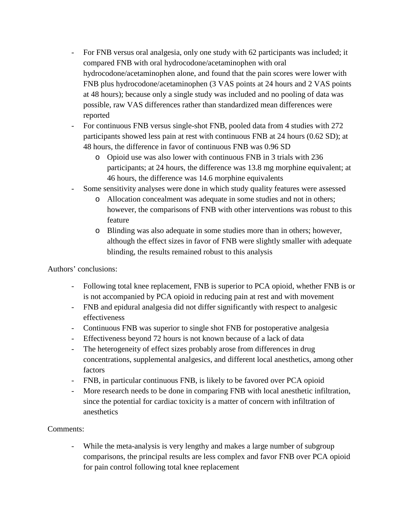- For FNB versus oral analgesia, only one study with 62 participants was included; it compared FNB with oral hydrocodone/acetaminophen with oral hydrocodone/acetaminophen alone, and found that the pain scores were lower with FNB plus hydrocodone/acetaminophen (3 VAS points at 24 hours and 2 VAS points at 48 hours); because only a single study was included and no pooling of data was possible, raw VAS differences rather than standardized mean differences were reported
- For continuous FNB versus single-shot FNB, pooled data from 4 studies with 272 participants showed less pain at rest with continuous FNB at 24 hours (0.62 SD); at 48 hours, the difference in favor of continuous FNB was 0.96 SD
	- o Opioid use was also lower with continuous FNB in 3 trials with 236 participants; at 24 hours, the difference was 13.8 mg morphine equivalent; at 46 hours, the difference was 14.6 morphine equivalents
- Some sensitivity analyses were done in which study quality features were assessed
	- o Allocation concealment was adequate in some studies and not in others; however, the comparisons of FNB with other interventions was robust to this feature
	- o Blinding was also adequate in some studies more than in others; however, although the effect sizes in favor of FNB were slightly smaller with adequate blinding, the results remained robust to this analysis

Authors' conclusions:

- Following total knee replacement, FNB is superior to PCA opioid, whether FNB is or is not accompanied by PCA opioid in reducing pain at rest and with movement
- FNB and epidural analgesia did not differ significantly with respect to analgesic effectiveness
- Continuous FNB was superior to single shot FNB for postoperative analgesia
- Effectiveness beyond 72 hours is not known because of a lack of data
- The heterogeneity of effect sizes probably arose from differences in drug concentrations, supplemental analgesics, and different local anesthetics, among other factors
- FNB, in particular continuous FNB, is likely to be favored over PCA opioid
- More research needs to be done in comparing FNB with local anesthetic infiltration, since the potential for cardiac toxicity is a matter of concern with infiltration of anesthetics

## Comments:

While the meta-analysis is very lengthy and makes a large number of subgroup comparisons, the principal results are less complex and favor FNB over PCA opioid for pain control following total knee replacement